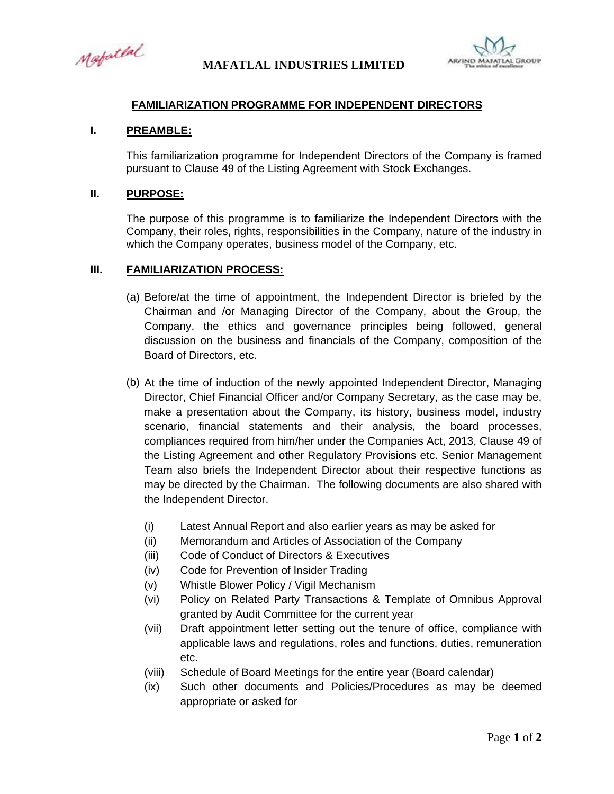Mapatlal



## **FAMILIARIZATION PROGRAMME FOR INDEPENDENT DIRECTORS**

## $\mathbf{L}$ **PREAMBLE:**

This familiarization programme for Independent Directors of the Company is framed pursuant to Clause 49 of the Listing Agreement with Stock Exchanges.

## П. **PURPOSE:**

The purpose of this programme is to familiarize the Independent Directors with the Company, their roles, rights, responsibilities in the Company, nature of the industry in which the Company operates, business model of the Company, etc.

## $III.$ **FAMILIARIZATION PROCESS:**

- (a) Before/at the time of appointment, the Independent Director is briefed by the Chairman and /or Managing Director of the Company, about the Group, the Company, the ethics and governance principles being followed, general discussion on the business and financials of the Company, composition of the Board of Directors, etc.
- (b) At the time of induction of the newly appointed Independent Director, Managing Director, Chief Financial Officer and/or Company Secretary, as the case may be, make a presentation about the Company, its history, business model, industry scenario, financial statements and their analysis, the board processes, compliances required from him/her under the Companies Act, 2013, Clause 49 of the Listing Agreement and other Regulatory Provisions etc. Senior Management Team also briefs the Independent Director about their respective functions as may be directed by the Chairman. The following documents are also shared with the Independent Director.
	- Latest Annual Report and also earlier years as may be asked for  $(i)$
	- $(ii)$ Memorandum and Articles of Association of the Company
	- Code of Conduct of Directors & Executives  $(iii)$
	- Code for Prevention of Insider Trading  $(iv)$
	- Whistle Blower Policy / Vigil Mechanism  $(v)$
	- $(vi)$ Policy on Related Party Transactions & Template of Omnibus Approval granted by Audit Committee for the current year
	- (vii) Draft appointment letter setting out the tenure of office, compliance with applicable laws and regulations, roles and functions, duties, remuneration etc.
	- (viii) Schedule of Board Meetings for the entire year (Board calendar)
	- Such other documents and Policies/Procedures as may be deemed  $(ix)$ appropriate or asked for